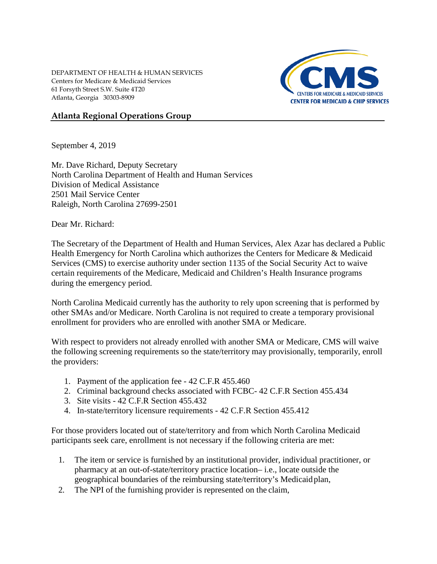DEPARTMENT OF HEALTH & HUMAN SERVICES Centers for Medicare & Medicaid Services 61 Forsyth Street S.W. Suite 4T20 Atlanta, Georgia 30303-8909



## **Atlanta Regional Operations Group**

September 4, 2019

Mr. Dave Richard, Deputy Secretary North Carolina Department of Health and Human Services Division of Medical Assistance 2501 Mail Service Center Raleigh, North Carolina 27699-2501

Dear Mr. Richard:

The Secretary of the Department of Health and Human Services, Alex Azar has declared a Public Health Emergency for North Carolina which authorizes the Centers for Medicare & Medicaid Services (CMS) to exercise authority under section 1135 of the Social Security Act to waive certain requirements of the Medicare, Medicaid and Children's Health Insurance programs during the emergency period.

North Carolina Medicaid currently has the authority to rely upon screening that is performed by other SMAs and/or Medicare. North Carolina is not required to create a temporary provisional enrollment for providers who are enrolled with another SMA or Medicare.

With respect to providers not already enrolled with another SMA or Medicare, CMS will waive the following screening requirements so the state/territory may provisionally, temporarily, enroll the providers:

- 1. Payment of the application fee 42 C.F.R 455.460
- 2. Criminal background checks associated with FCBC- 42 C.F.R Section 455.434
- 3. Site visits 42 C.F.R Section 455.432
- 4. In-state/territory licensure requirements 42 C.F.R Section 455.412

For those providers located out of state/territory and from which North Carolina Medicaid participants seek care, enrollment is not necessary if the following criteria are met:

- 1. The item or service is furnished by an institutional provider, individual practitioner, or pharmacy at an out-of-state/territory practice location– i.e., locate outside the geographical boundaries of the reimbursing state/territory's Medicaidplan,
- 2. The NPI of the furnishing provider is represented on the claim,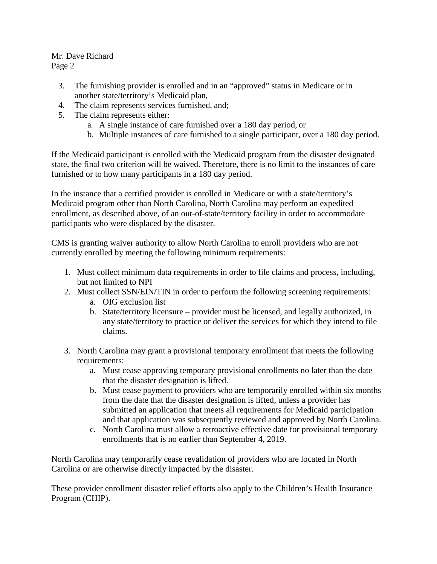Mr. Dave Richard

Page 2

- 3. The furnishing provider is enrolled and in an "approved" status in Medicare or in another state/territory's Medicaid plan,
- 4. The claim represents services furnished, and;
- 5. The claim represents either:
	- a. A single instance of care furnished over a 180 day period, or
	- b. Multiple instances of care furnished to a single participant, over a 180 day period.

If the Medicaid participant is enrolled with the Medicaid program from the disaster designated state, the final two criterion will be waived. Therefore, there is no limit to the instances of care furnished or to how many participants in a 180 day period.

In the instance that a certified provider is enrolled in Medicare or with a state/territory's Medicaid program other than North Carolina, North Carolina may perform an expedited enrollment, as described above, of an out-of-state/territory facility in order to accommodate participants who were displaced by the disaster.

CMS is granting waiver authority to allow North Carolina to enroll providers who are not currently enrolled by meeting the following minimum requirements:

- 1. Must collect minimum data requirements in order to file claims and process, including, but not limited to NPI
- 2. Must collect SSN/EIN/TIN in order to perform the following screening requirements:
	- a. OIG exclusion list
	- b. State/territory licensure provider must be licensed, and legally authorized, in any state/territory to practice or deliver the services for which they intend to file claims.
- 3. North Carolina may grant a provisional temporary enrollment that meets the following requirements:
	- a. Must cease approving temporary provisional enrollments no later than the date that the disaster designation is lifted.
	- b. Must cease payment to providers who are temporarily enrolled within six months from the date that the disaster designation is lifted, unless a provider has submitted an application that meets all requirements for Medicaid participation and that application was subsequently reviewed and approved by North Carolina.
	- c. North Carolina must allow a retroactive effective date for provisional temporary enrollments that is no earlier than September 4, 2019.

North Carolina may temporarily cease revalidation of providers who are located in North Carolina or are otherwise directly impacted by the disaster.

These provider enrollment disaster relief efforts also apply to the Children's Health Insurance Program (CHIP).